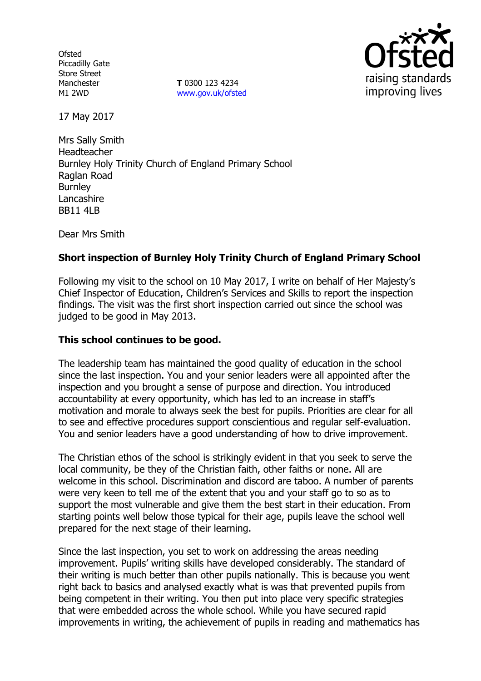**Ofsted** Piccadilly Gate Store Street Manchester M1 2WD

**T** 0300 123 4234 www.gov.uk/ofsted



17 May 2017

Mrs Sally Smith Headteacher Burnley Holy Trinity Church of England Primary School Raglan Road **Burnley** Lancashire BB11 4LB

Dear Mrs Smith

## **Short inspection of Burnley Holy Trinity Church of England Primary School**

Following my visit to the school on 10 May 2017, I write on behalf of Her Majesty's Chief Inspector of Education, Children's Services and Skills to report the inspection findings. The visit was the first short inspection carried out since the school was judged to be good in May 2013.

### **This school continues to be good.**

The leadership team has maintained the good quality of education in the school since the last inspection. You and your senior leaders were all appointed after the inspection and you brought a sense of purpose and direction. You introduced accountability at every opportunity, which has led to an increase in staff's motivation and morale to always seek the best for pupils. Priorities are clear for all to see and effective procedures support conscientious and regular self-evaluation. You and senior leaders have a good understanding of how to drive improvement.

The Christian ethos of the school is strikingly evident in that you seek to serve the local community, be they of the Christian faith, other faiths or none. All are welcome in this school. Discrimination and discord are taboo. A number of parents were very keen to tell me of the extent that you and your staff go to so as to support the most vulnerable and give them the best start in their education. From starting points well below those typical for their age, pupils leave the school well prepared for the next stage of their learning.

Since the last inspection, you set to work on addressing the areas needing improvement. Pupils' writing skills have developed considerably. The standard of their writing is much better than other pupils nationally. This is because you went right back to basics and analysed exactly what is was that prevented pupils from being competent in their writing. You then put into place very specific strategies that were embedded across the whole school. While you have secured rapid improvements in writing, the achievement of pupils in reading and mathematics has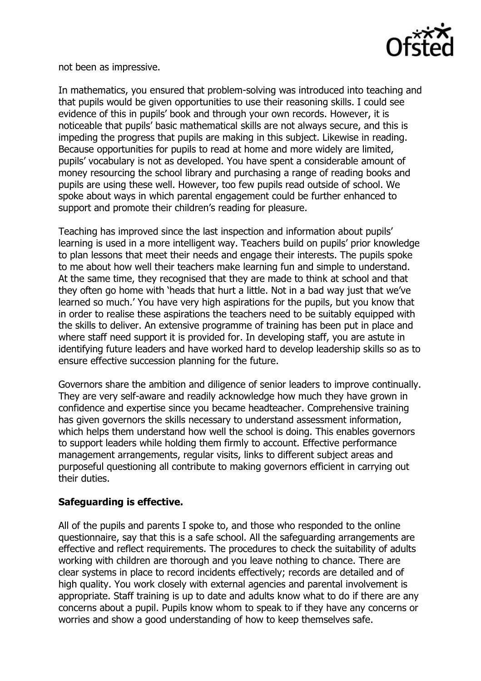

not been as impressive.

In mathematics, you ensured that problem-solving was introduced into teaching and that pupils would be given opportunities to use their reasoning skills. I could see evidence of this in pupils' book and through your own records. However, it is noticeable that pupils' basic mathematical skills are not always secure, and this is impeding the progress that pupils are making in this subject. Likewise in reading. Because opportunities for pupils to read at home and more widely are limited, pupils' vocabulary is not as developed. You have spent a considerable amount of money resourcing the school library and purchasing a range of reading books and pupils are using these well. However, too few pupils read outside of school. We spoke about ways in which parental engagement could be further enhanced to support and promote their children's reading for pleasure.

Teaching has improved since the last inspection and information about pupils' learning is used in a more intelligent way. Teachers build on pupils' prior knowledge to plan lessons that meet their needs and engage their interests. The pupils spoke to me about how well their teachers make learning fun and simple to understand. At the same time, they recognised that they are made to think at school and that they often go home with 'heads that hurt a little. Not in a bad way just that we've learned so much.' You have very high aspirations for the pupils, but you know that in order to realise these aspirations the teachers need to be suitably equipped with the skills to deliver. An extensive programme of training has been put in place and where staff need support it is provided for. In developing staff, you are astute in identifying future leaders and have worked hard to develop leadership skills so as to ensure effective succession planning for the future.

Governors share the ambition and diligence of senior leaders to improve continually. They are very self-aware and readily acknowledge how much they have grown in confidence and expertise since you became headteacher. Comprehensive training has given governors the skills necessary to understand assessment information, which helps them understand how well the school is doing. This enables governors to support leaders while holding them firmly to account. Effective performance management arrangements, regular visits, links to different subject areas and purposeful questioning all contribute to making governors efficient in carrying out their duties.

## **Safeguarding is effective.**

All of the pupils and parents I spoke to, and those who responded to the online questionnaire, say that this is a safe school. All the safeguarding arrangements are effective and reflect requirements. The procedures to check the suitability of adults working with children are thorough and you leave nothing to chance. There are clear systems in place to record incidents effectively; records are detailed and of high quality. You work closely with external agencies and parental involvement is appropriate. Staff training is up to date and adults know what to do if there are any concerns about a pupil. Pupils know whom to speak to if they have any concerns or worries and show a good understanding of how to keep themselves safe.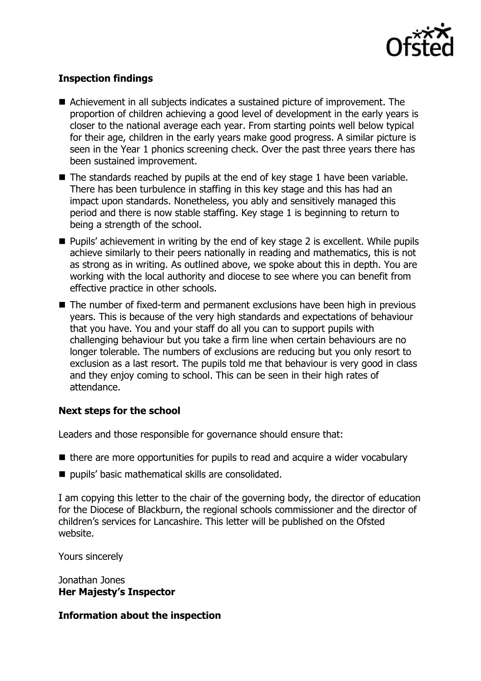

# **Inspection findings**

- Achievement in all subjects indicates a sustained picture of improvement. The proportion of children achieving a good level of development in the early years is closer to the national average each year. From starting points well below typical for their age, children in the early years make good progress. A similar picture is seen in the Year 1 phonics screening check. Over the past three years there has been sustained improvement.
- $\blacksquare$  The standards reached by pupils at the end of key stage 1 have been variable. There has been turbulence in staffing in this key stage and this has had an impact upon standards. Nonetheless, you ably and sensitively managed this period and there is now stable staffing. Key stage 1 is beginning to return to being a strength of the school.
- Pupils' achievement in writing by the end of key stage 2 is excellent. While pupils achieve similarly to their peers nationally in reading and mathematics, this is not as strong as in writing. As outlined above, we spoke about this in depth. You are working with the local authority and diocese to see where you can benefit from effective practice in other schools.
- The number of fixed-term and permanent exclusions have been high in previous years. This is because of the very high standards and expectations of behaviour that you have. You and your staff do all you can to support pupils with challenging behaviour but you take a firm line when certain behaviours are no longer tolerable. The numbers of exclusions are reducing but you only resort to exclusion as a last resort. The pupils told me that behaviour is very good in class and they enjoy coming to school. This can be seen in their high rates of attendance.

## **Next steps for the school**

Leaders and those responsible for governance should ensure that:

- $\blacksquare$  there are more opportunities for pupils to read and acquire a wider vocabulary
- pupils' basic mathematical skills are consolidated.

I am copying this letter to the chair of the governing body, the director of education for the Diocese of Blackburn, the regional schools commissioner and the director of children's services for Lancashire. This letter will be published on the Ofsted website.

Yours sincerely

Jonathan Jones **Her Majesty's Inspector**

#### **Information about the inspection**